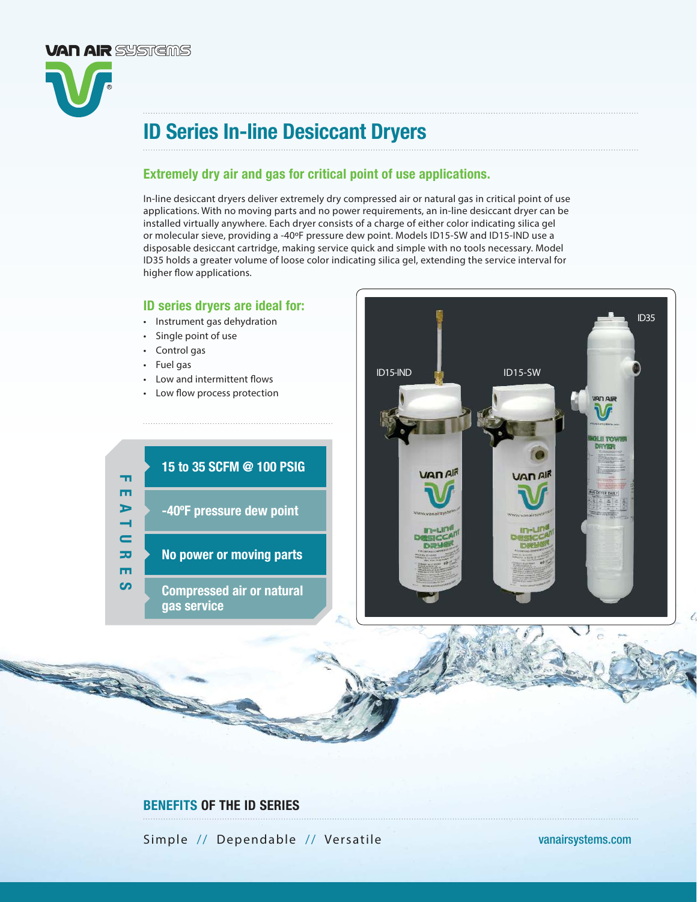

# ID Series In-line Desiccant Dryers

# Extremely dry air and gas for critical point of use applications.

In-line desiccant dryers deliver extremely dry compressed air or natural gas in critical point of use applications. With no moving parts and no power requirements, an in-line desiccant dryer can be installed virtually anywhere. Each dryer consists of a charge of either color indicating silica gel or molecular sieve, providing a -40ºF pressure dew point. Models ID15-SW and ID15-IND use a disposable desiccant cartridge, making service quick and simple with no tools necessary. Model ID35 holds a greater volume of loose color indicating silica gel, extending the service interval for higher flow applications.

## ID series dryers are ideal for:

- Instrument gas dehydration
- Single point of use
- Control gas
- Fuel gas

- Low and intermittent flows
- Low flow process protection





# BENEFITS OF THE ID SERIES

Simple // Dependable // Versatile vanairsystems.com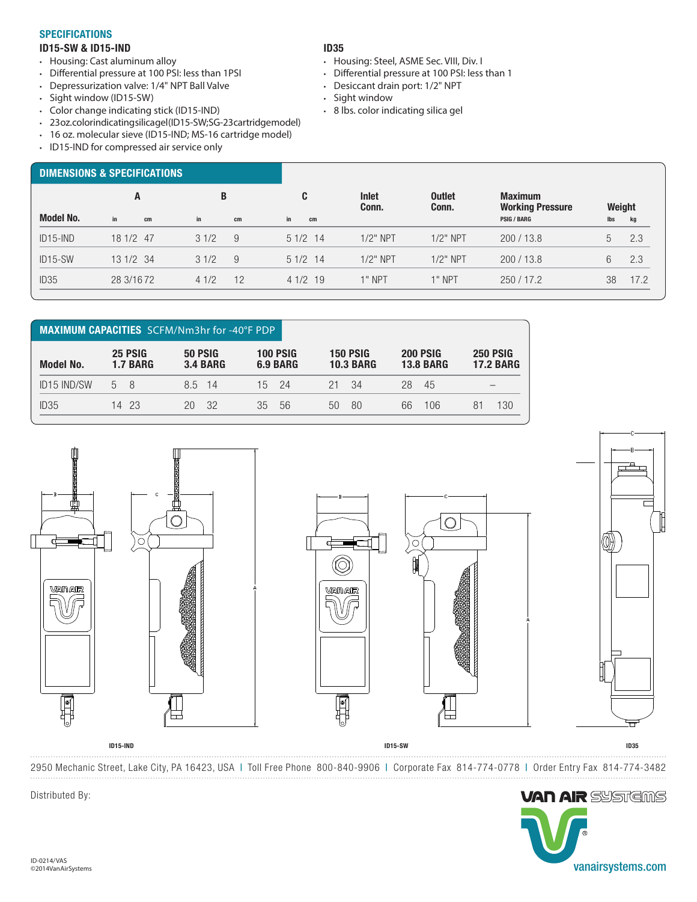#### **SPECIFICATIONS**

### ID15-SW & ID15-IND

- Housing: Cast aluminum alloy
- Differential pressure at 100 PSI: less than 1PSI
- Depressurization valve: 1/4" NPT Ball Valve
- Sight window (ID15-SW)
- Color change indicating stick (ID15-IND)
- 23 oz. color indicating silicagel (ID15-SW; SG-23 cartridge model)
- 16 oz. molecular sieve (ID15-IND; MS-16 cartridge model)
- ID15-IND for compressed air service only

### ID35

- Housing: Steel, ASME Sec. VIII, Div. I
- Differential pressure at 100 PSI: less than 1
- Desiccant drain port: 1/2" NPT
- Sight window
- 8 lbs. color indicating silica gel

| <b>DIMENSIONS &amp; SPECIFICATIONS</b> |            |      |    |           |                |                        |                                           |        |      |
|----------------------------------------|------------|------|----|-----------|----------------|------------------------|-------------------------------------------|--------|------|
|                                        | A          | B    |    | C         | Inlet<br>Conn. | <b>Outlet</b><br>Conn. | <b>Maximum</b><br><b>Working Pressure</b> | Weight |      |
| <b>Model No.</b>                       | in<br>cm   | in   | cm | in<br>cm  |                |                        | <b>PSIG / BARG</b>                        | lbs    | kg   |
| $ID15-IND$                             | 18 1/2 47  | 31/2 | 9  | $51/2$ 14 | $1/2$ " NPT    | $1/2$ " NPT            | 200/13.8                                  | 5      | 2.3  |
| ID <sub>15</sub> -SW                   | 13 1/2 34  | 31/2 | 9  | $51/2$ 14 | $1/2$ " NPT    | $1/2$ " NPT            | 200/13.8                                  | 6      | 2.3  |
| ID <sub>35</sub>                       | 28 3/16 72 | 41/2 | 12 | 41/219    | $1"$ NPT       | $1"$ NPT               | 250/17.2                                  | 38     | 17.2 |

| <b>MAXIMUM CAPACITIES</b> SCFM/Nm3hr for -40°F PDP |                            |                                   |                             |                                     |                                     |                                     |  |  |  |  |  |  |  |  |
|----------------------------------------------------|----------------------------|-----------------------------------|-----------------------------|-------------------------------------|-------------------------------------|-------------------------------------|--|--|--|--|--|--|--|--|
| <b>Model No.</b>                                   | 25 PSIG<br><b>1.7 BARG</b> | <b>50 PSIG</b><br><b>3.4 BARG</b> | <b>100 PSIG</b><br>6.9 BARG | <b>150 PSIG</b><br><b>10.3 BARG</b> | <b>200 PSIG</b><br><b>13.8 BARG</b> | <b>250 PSIG</b><br><b>17.2 BARG</b> |  |  |  |  |  |  |  |  |
| <b>ID15 IND/SW</b>                                 | 5 8                        | 8.5 14                            | 15 24                       | 21 34                               | 28<br>-45                           |                                     |  |  |  |  |  |  |  |  |
| ID <sub>35</sub>                                   | 14 23                      | -32<br>20                         | 35<br>.56                   | 80<br>50                            | 66<br>106                           | 130                                 |  |  |  |  |  |  |  |  |



2950 Mechanic Street, Lake City, PA 16423, USA | Toll Free Phone 800-840-9906 | Corporate Fax 814-774-0778 | Order Entry Fax 814-774-3482 . . . . . . . . . . . . .



Distributed By: